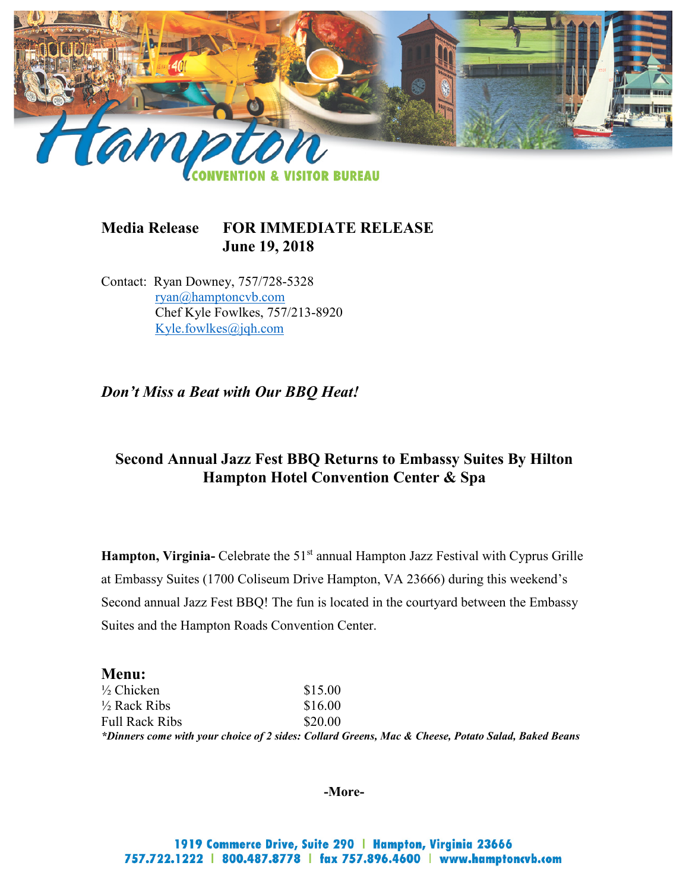

## **Media Release FOR IMMEDIATE RELEASE June 19, 2018**

Contact: Ryan Downey, 757/728-5328 [ryan@hamptoncvb.com](mailto:ryan@hamptoncvb.com) Chef Kyle Fowlkes, 757/213-8920 [Kyle.fowlkes@jqh.com](mailto:Kyle.fowlkes@jqh.com)

*Don't Miss a Beat with Our BBQ Heat!*

# **Second Annual Jazz Fest BBQ Returns to Embassy Suites By Hilton Hampton Hotel Convention Center & Spa**

**Hampton, Virginia-** Celebrate the 51<sup>st</sup> annual Hampton Jazz Festival with Cyprus Grille at Embassy Suites (1700 Coliseum Drive Hampton, VA 23666) during this weekend's Second annual Jazz Fest BBQ! The fun is located in the courtyard between the Embassy Suites and the Hampton Roads Convention Center.

#### **Menu:**

 $\frac{1}{2}$  Chicken \$15.00  $\frac{1}{2}$  Rack Ribs \$16.00 Full Rack Ribs \$20.00 *\*Dinners come with your choice of 2 sides: Collard Greens, Mac & Cheese, Potato Salad, Baked Beans*

**-More-**

1919 Commerce Drive, Suite 290 | Hampton, Virginia 23666 757.722.1222 | 800.487.8778 | fax 757.896.4600 | www.hamptoncvb.com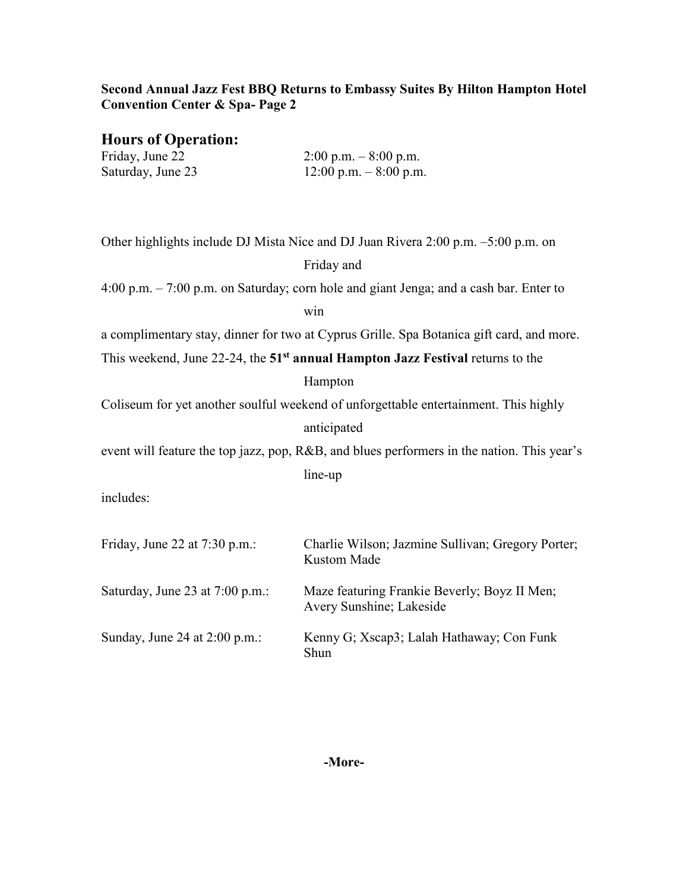## **Second Annual Jazz Fest BBQ Returns to Embassy Suites By Hilton Hampton Hotel Convention Center & Spa- Page 2**

**Hours of Operation:**

| Friday, June 22   | $2:00 \text{ p.m.} - 8:00 \text{ p.m.}$ |
|-------------------|-----------------------------------------|
| Saturday, June 23 | $12:00$ p.m. $-8:00$ p.m.               |

| Other highlights include DJ Mista Nice and DJ Juan Rivera 2:00 p.m. -5:00 p.m. on          |                                                                          |  |
|--------------------------------------------------------------------------------------------|--------------------------------------------------------------------------|--|
|                                                                                            | Friday and                                                               |  |
| 4:00 p.m. - 7:00 p.m. on Saturday; corn hole and giant Jenga; and a cash bar. Enter to     |                                                                          |  |
|                                                                                            | win                                                                      |  |
| a complimentary stay, dinner for two at Cyprus Grille. Spa Botanica gift card, and more.   |                                                                          |  |
| This weekend, June 22-24, the 51 <sup>st</sup> annual Hampton Jazz Festival returns to the |                                                                          |  |
|                                                                                            | Hampton                                                                  |  |
| Coliseum for yet another soulful weekend of unforgettable entertainment. This highly       |                                                                          |  |
|                                                                                            | anticipated                                                              |  |
| event will feature the top jazz, pop, R&B, and blues performers in the nation. This year's |                                                                          |  |
|                                                                                            | line-up                                                                  |  |
| includes:                                                                                  |                                                                          |  |
|                                                                                            |                                                                          |  |
| Friday, June 22 at 7:30 p.m.:                                                              | Charlie Wilson; Jazmine Sullivan; Gregory Porter;<br><b>Kustom Made</b>  |  |
| Saturday, June 23 at 7:00 p.m.:                                                            | Maze featuring Frankie Beverly; Boyz II Men;<br>Avery Sunshine; Lakeside |  |
| Sunday, June 24 at 2:00 p.m.:                                                              | Kenny G; Xscap3; Lalah Hathaway; Con Funk<br>Shun                        |  |